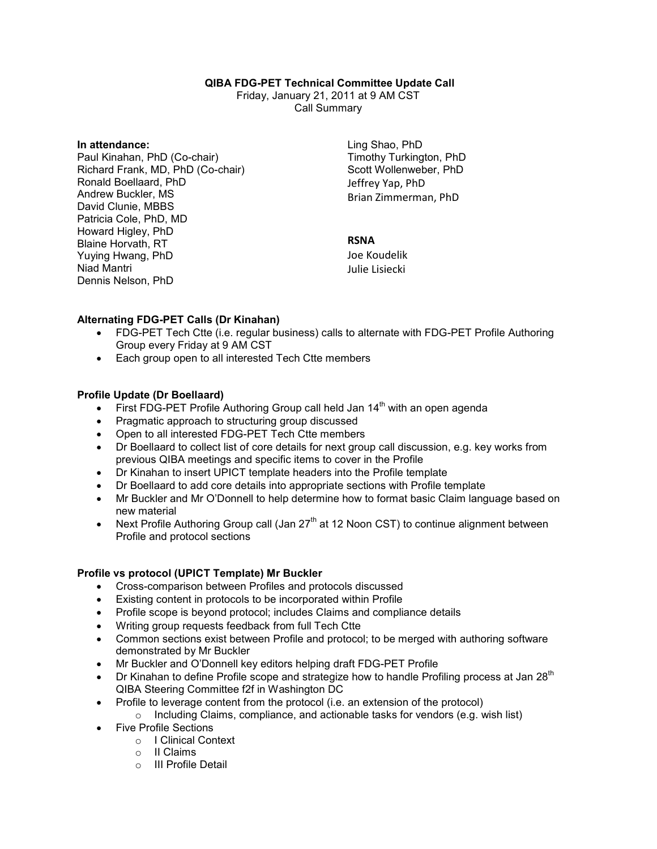# **QIBA FDG-PET Technical Committee Update Call**

Friday, January 21, 2011 at 9 AM CST Call Summary

#### **In attendance:**

Paul Kinahan, PhD (Co-chair) Richard Frank, MD, PhD (Co-chair) Ronald Boellaard, PhD Andrew Buckler, MS David Clunie, MBBS Patricia Cole, PhD, MD Howard Higley, PhD Blaine Horvath, RT Yuying Hwang, PhD Niad Mantri Dennis Nelson, PhD

Ling Shao, PhD Timothy Turkington, PhD Scott Wollenweber, PhD Jeffrey Yap, PhD Brian Zimmerman, PhD

# **RSNA**

Joe Koudelik Julie Lisiecki

### **Alternating FDG-PET Calls (Dr Kinahan)**

- FDG-PET Tech Ctte (i.e. regular business) calls to alternate with FDG-PET Profile Authoring Group every Friday at 9 AM CST
- Each group open to all interested Tech Ctte members

# **Profile Update (Dr Boellaard)**

- First FDG-PET Profile Authoring Group call held Jan  $14<sup>th</sup>$  with an open agenda
- Pragmatic approach to structuring group discussed
- Open to all interested FDG-PET Tech Ctte members
- Dr Boellaard to collect list of core details for next group call discussion, e.g. key works from previous QIBA meetings and specific items to cover in the Profile
- Dr Kinahan to insert UPICT template headers into the Profile template
- Dr Boellaard to add core details into appropriate sections with Profile template
- Mr Buckler and Mr O'Donnell to help determine how to format basic Claim language based on new material
- Next Profile Authoring Group call (Jan  $27<sup>th</sup>$  at 12 Noon CST) to continue alignment between Profile and protocol sections

#### **Profile vs protocol (UPICT Template) Mr Buckler**

- Cross-comparison between Profiles and protocols discussed
- Existing content in protocols to be incorporated within Profile
- Profile scope is beyond protocol; includes Claims and compliance details
- Writing group requests feedback from full Tech Ctte
- Common sections exist between Profile and protocol; to be merged with authoring software demonstrated by Mr Buckler
- Mr Buckler and O'Donnell key editors helping draft FDG-PET Profile
- $\triangleright$  Dr Kinahan to define Profile scope and strategize how to handle Profiling process at Jan 28<sup>th</sup> QIBA Steering Committee f2f in Washington DC
- Profile to leverage content from the protocol (i.e. an extension of the protocol)
	- o Including Claims, compliance, and actionable tasks for vendors (e.g. wish list)
- Five Profile Sections
	- o I Clinical Context
	- o II Claims
	- o III Profile Detail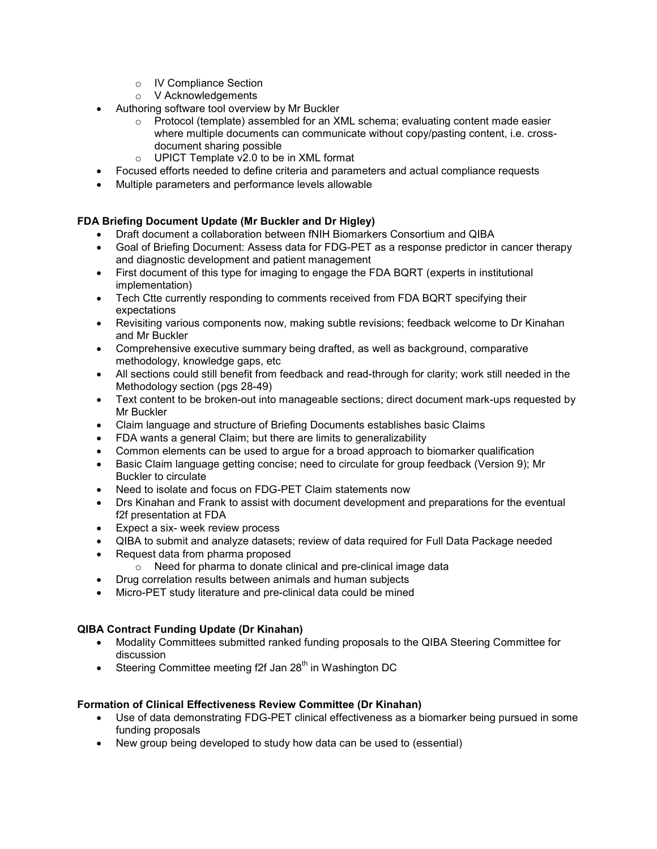- o IV Compliance Section
- o V Acknowledgements
- Authoring software tool overview by Mr Buckler
	- $\circ$  Protocol (template) assembled for an XML schema; evaluating content made easier where multiple documents can communicate without copy/pasting content, i.e. crossdocument sharing possible
	- o UPICT Template v2.0 to be in XML format
- Focused efforts needed to define criteria and parameters and actual compliance requests
- Multiple parameters and performance levels allowable

# **FDA Briefing Document Update (Mr Buckler and Dr Higley)**

- Draft document a collaboration between fNIH Biomarkers Consortium and QIBA
- Goal of Briefing Document: Assess data for FDG-PET as a response predictor in cancer therapy and diagnostic development and patient management
- First document of this type for imaging to engage the FDA BQRT (experts in institutional implementation)
- Tech Ctte currently responding to comments received from FDA BQRT specifying their expectations
- Revisiting various components now, making subtle revisions; feedback welcome to Dr Kinahan and Mr Buckler
- Comprehensive executive summary being drafted, as well as background, comparative methodology, knowledge gaps, etc
- All sections could still benefit from feedback and read-through for clarity; work still needed in the Methodology section (pgs 28-49)
- Text content to be broken-out into manageable sections; direct document mark-ups requested by Mr Buckler
- Claim language and structure of Briefing Documents establishes basic Claims
- FDA wants a general Claim; but there are limits to generalizability
- Common elements can be used to argue for a broad approach to biomarker qualification
- Basic Claim language getting concise; need to circulate for group feedback (Version 9); Mr Buckler to circulate
- Need to isolate and focus on FDG-PET Claim statements now
- Drs Kinahan and Frank to assist with document development and preparations for the eventual f2f presentation at FDA
- Expect a six- week review process
- QIBA to submit and analyze datasets; review of data required for Full Data Package needed
- Request data from pharma proposed
	- o Need for pharma to donate clinical and pre-clinical image data
- Drug correlation results between animals and human subjects
- Micro-PET study literature and pre-clinical data could be mined

# **QIBA Contract Funding Update (Dr Kinahan)**

- Modality Committees submitted ranked funding proposals to the QIBA Steering Committee for discussion
- Steering Committee meeting f2f Jan  $28<sup>th</sup>$  in Washington DC

# **Formation of Clinical Effectiveness Review Committee (Dr Kinahan)**

- Use of data demonstrating FDG-PET clinical effectiveness as a biomarker being pursued in some funding proposals
- New group being developed to study how data can be used to (essential)